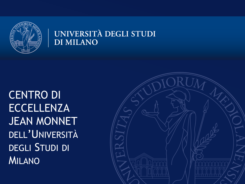

#### UNIVERSITÀ DEGLI STUDI **DI MILANO**

CENTRO DI ECCELLENZA JEAN MONNET DELL'UNIVERSITÀ DEGLI STUDI DI MILANO

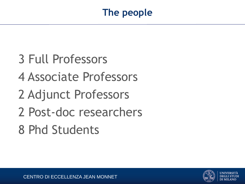- 3 Full Professors
- 4 Associate Professors
- 2 Adjunct Professors
- 2 Post-doc researchers
- 8 Phd Students

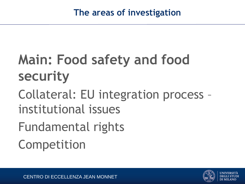# **Main: Food safety and food security**

# Collateral: EU integration process – institutional issues

Fundamental rights

Competition

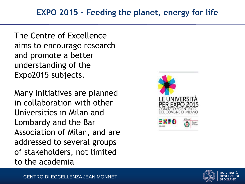The Centre of Excellence aims to encourage research and promote a better understanding of the Expo2015 subjects.

Many initiatives are planned in collaboration with other Universities in Milan and Lombardy and the Bar Association of Milan, and are addressed to several groups of stakeholders, not limited to the academia



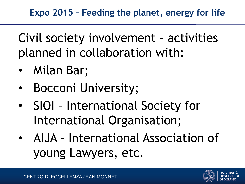Civil society involvement - activities planned in collaboration with:

- Milan Bar;
- Bocconi University;
- SIOI International Society for International Organisation;
- AIJA International Association of young Lawyers, etc.

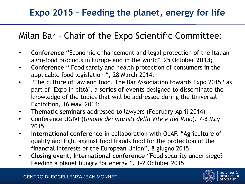### **Expo 2015 – Feeding the planet, energy for life**

### Milan Bar – Chair of the Expo Scientific Committee:

- **Conference** "Economic enhancement and legal protection of the Italian agro-food products in Europe and in the world", 25 October **2013;**
- **Conference** " Food safety and health protection of consumers in the applicable food legislation "*,* 28 March 2014,
- "The culture of law and food. The Bar Association towards Expo 2015" as part of "Expo in città", a **series of events** designed to disseminate the knowledge of the topics that will be addressed during the Universal Exhibition, 16 May, 2014;
- **Thematic seminars** addressed to lawyers (February-April 2014)
- Conference UGIVI (*Unione dei giuristi della Vite e del Vino*), 7-8 May 2015.
- **International conference** in collaboration with OLAF, "Agriculture of quality and fight against food frauds food for the protection of the financial interests of the European Union", 8 giugno 2015.
- **Closing event, International conference** "Food security under siege? Feeding a planet hungry for energy ", 1-2 October 2015.



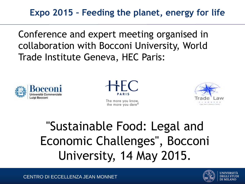**Expo 2015 – Feeding the planet, energy for life** 

Conference and expert meeting organised in collaboration with Bocconi University, World Trade Institute Geneva, HEC Paris:





The more you know, the more you dare®



## "Sustainable Food: Legal and Economic Challenges", Bocconi University, 14 May 2015.

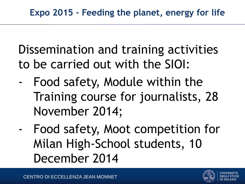Dissemination and training activities to be carried out with the SIOI:

- Food safety, Module within the Training course for journalists, 28 November 2014;
	- Food safety, Moot competition for Milan High-School students, 10 December 2014

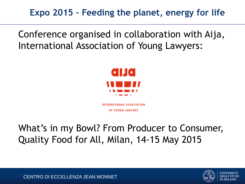**Expo 2015 – Feeding the planet, energy for life** 

Conference organised in collaboration with Aija, International Association of Young Lawyers:



**NATIONAL ASSOCIATION** OF YOUNG LAWYERS

What's in my Bowl? From Producer to Consumer, Quality Food for All, Milan, 14-15 May 2015



CENTRO DI ECCELLENZA JEAN MONNET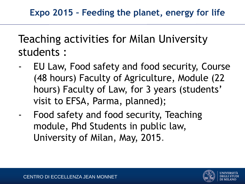Teaching activities for Milan University students :

- EU Law, Food safety and food security, Course (48 hours) Faculty of Agriculture, Module (22 hours) Faculty of Law, for 3 years (students' visit to EFSA, Parma, planned);
- Food safety and food security, Teaching module, Phd Students in public law, University of Milan, May, 2015.

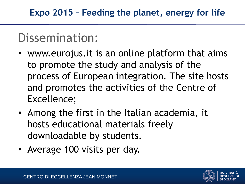### Dissemination:

- www.eurojus.it is an online platform that aims to promote the study and analysis of the process of European integration. The site hosts and promotes the activities of the Centre of Excellence;
- Among the first in the Italian academia, it hosts educational materials freely downloadable by students.
- Average 100 visits per day.

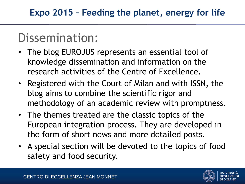### Dissemination:

- The blog EUROJUS represents an essential tool of knowledge dissemination and information on the research activities of the Centre of Excellence.
- Registered with the Court of Milan and with ISSN, the blog aims to combine the scientific rigor and methodology of an academic review with promptness.
- The themes treated are the classic topics of the European integration process. They are developed in the form of short news and more detailed posts.
- A special section will be devoted to the topics of food safety and food security.

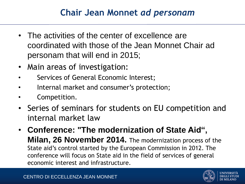### **Chair Jean Monnet** *ad personam*

- The activities of the center of excellence are coordinated with those of the Jean Monnet Chair ad personam that will end in 2015;
- Main areas of investigation:
- Services of General Economic Interest;
- Internal market and consumer's protection;
- Competition.
- Series of seminars for students on EU competition and internal market law
- **Conference: "The modernization of State Aid", Milan, 26 November 2014.** The modernization process of the State aid's control started by the European Commission in 2012. The conference will focus on State aid in the field of services of general economic interest and infrastructure.

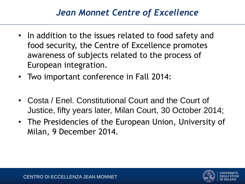### *Jean Monnet Centre of Excellence*

- In addition to the issues related to food safety and food security, the Centre of Excellence promotes awareness of subjects related to the process of European integration.
- Two important conference in Fall 2014:
- Costa / Enel. Constitutional Court and the Court of Justice, fifty years later, Milan Court, 30 October 2014;
- The Presidencies of the European Union, University of Milan, 9 December 2014.